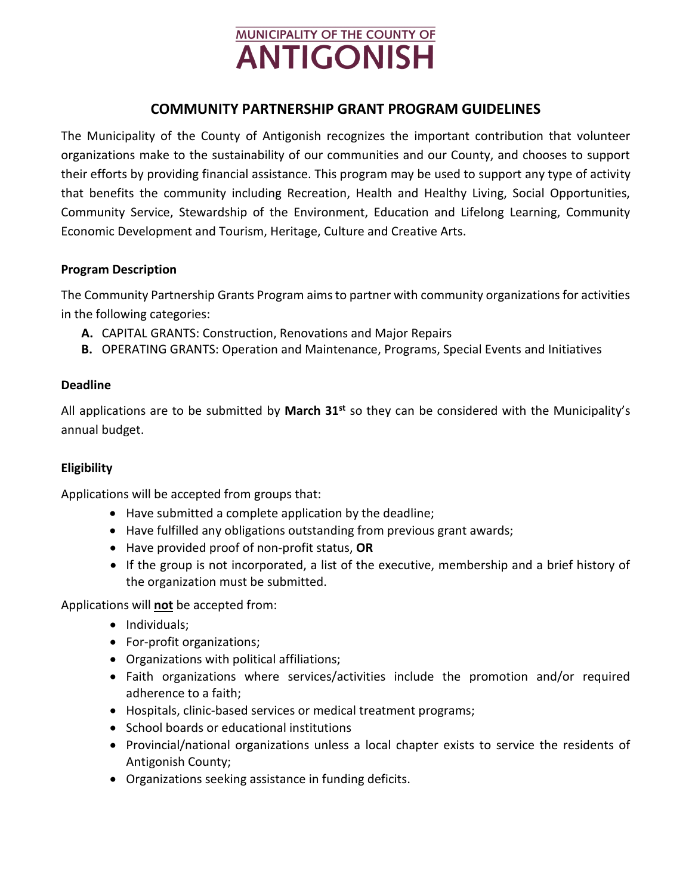# **MUNICIPALITY OF THE COUNTY OF ANTIGONISH**

## **COMMUNITY PARTNERSHIP GRANT PROGRAM GUIDELINES**

The Municipality of the County of Antigonish recognizes the important contribution that volunteer organizations make to the sustainability of our communities and our County, and chooses to support their efforts by providing financial assistance. This program may be used to support any type of activity that benefits the community including Recreation, Health and Healthy Living, Social Opportunities, Community Service, Stewardship of the Environment, Education and Lifelong Learning, Community Economic Development and Tourism, Heritage, Culture and Creative Arts.

#### **Program Description**

The Community Partnership Grants Program aims to partner with community organizations for activities in the following categories:

- **A.** CAPITAL GRANTS: Construction, Renovations and Major Repairs
- **B.** OPERATING GRANTS: Operation and Maintenance, Programs, Special Events and Initiatives

#### **Deadline**

All applications are to be submitted by **March 31st** so they can be considered with the Municipality's annual budget.

#### **Eligibility**

Applications will be accepted from groups that:

- Have submitted a complete application by the deadline;
- Have fulfilled any obligations outstanding from previous grant awards;
- Have provided proof of non‐profit status, **OR**
- If the group is not incorporated, a list of the executive, membership and a brief history of the organization must be submitted.

Applications will **not** be accepted from:

- Individuals;
- For-profit organizations;
- Organizations with political affiliations;
- Faith organizations where services/activities include the promotion and/or required adherence to a faith;
- Hospitals, clinic‐based services or medical treatment programs;
- School boards or educational institutions
- Provincial/national organizations unless a local chapter exists to service the residents of Antigonish County;
- Organizations seeking assistance in funding deficits.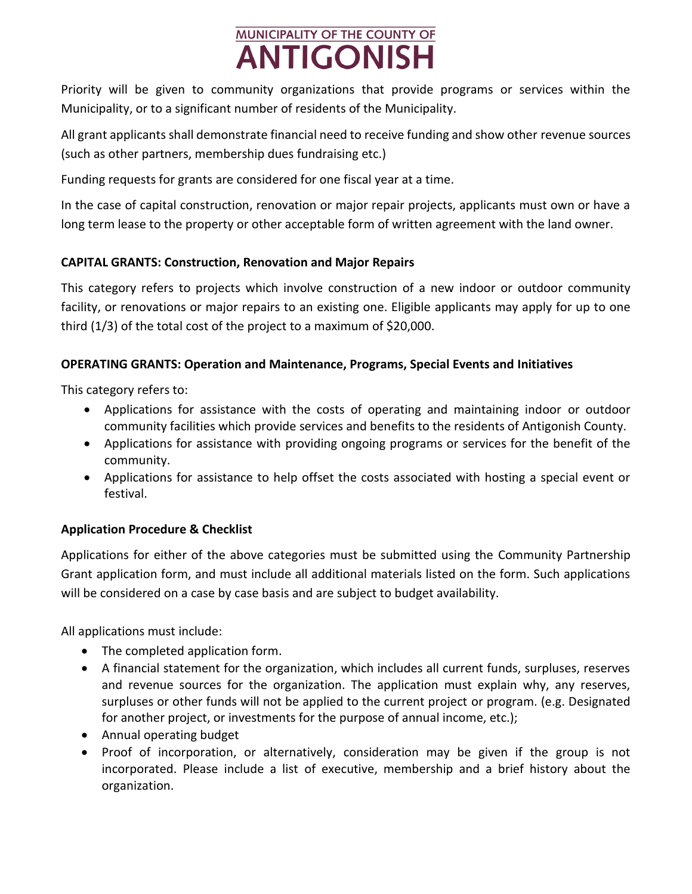# **MUNICIPALITY OF THE COUNTY OF ANTIGONISH**

Priority will be given to community organizations that provide programs or services within the Municipality, or to a significant number of residents of the Municipality.

All grant applicants shall demonstrate financial need to receive funding and show other revenue sources (such as other partners, membership dues fundraising etc.)

Funding requests for grants are considered for one fiscal year at a time.

In the case of capital construction, renovation or major repair projects, applicants must own or have a long term lease to the property or other acceptable form of written agreement with the land owner.

## **CAPITAL GRANTS: Construction, Renovation and Major Repairs**

This category refers to projects which involve construction of a new indoor or outdoor community facility, or renovations or major repairs to an existing one. Eligible applicants may apply for up to one third (1/3) of the total cost of the project to a maximum of \$20,000.

### **OPERATING GRANTS: Operation and Maintenance, Programs, Special Events and Initiatives**

This category refers to:

- Applications for assistance with the costs of operating and maintaining indoor or outdoor community facilities which provide services and benefits to the residents of Antigonish County.
- Applications for assistance with providing ongoing programs or services for the benefit of the community.
- Applications for assistance to help offset the costs associated with hosting a special event or festival.

## **Application Procedure & Checklist**

Applications for either of the above categories must be submitted using the Community Partnership Grant application form, and must include all additional materials listed on the form. Such applications will be considered on a case by case basis and are subject to budget availability.

All applications must include:

- The completed application form.
- A financial statement for the organization, which includes all current funds, surpluses, reserves and revenue sources for the organization. The application must explain why, any reserves, surpluses or other funds will not be applied to the current project or program. (e.g. Designated for another project, or investments for the purpose of annual income, etc.);
- Annual operating budget
- Proof of incorporation, or alternatively, consideration may be given if the group is not incorporated. Please include a list of executive, membership and a brief history about the organization.